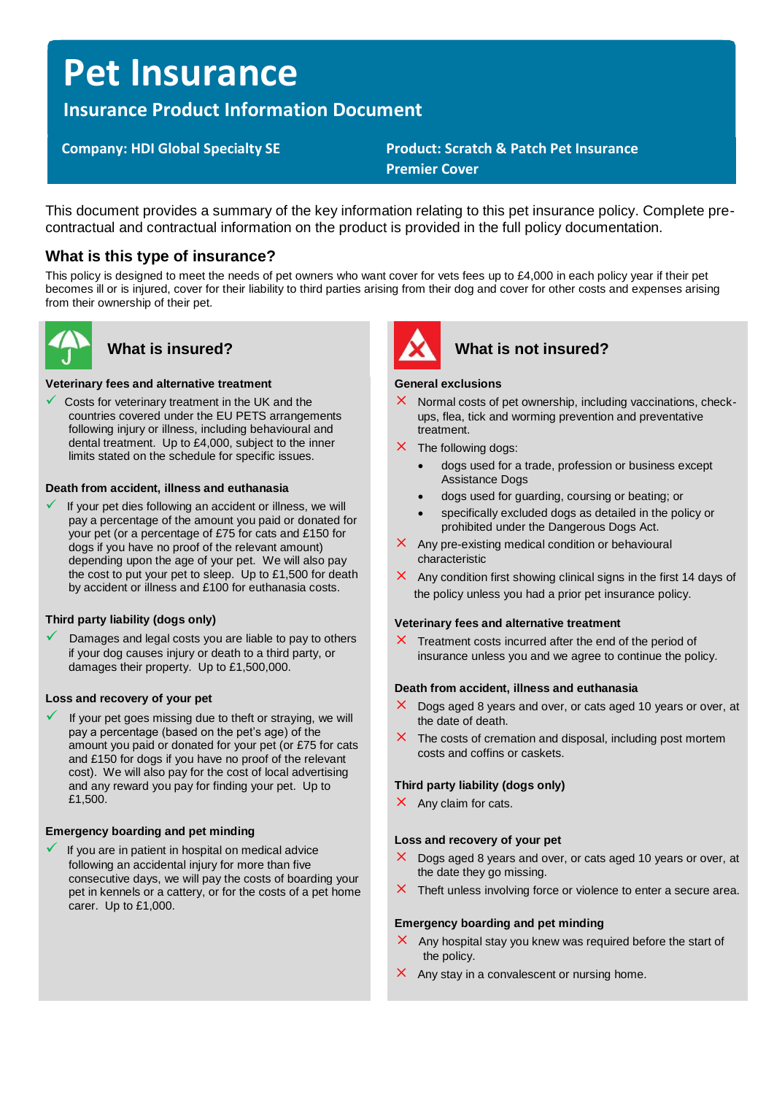# **Pet Insurance**

# **Insurance Product Information Document**

# **Company: HDI Global Specialty SE Product: Scratch & Patch Pet Insurance Premier Cover**

This document provides a summary of the key information relating to this pet insurance policy. Complete precontractual and contractual information on the product is provided in the full policy documentation.

# **What is this type of insurance?**

This policy is designed to meet the needs of pet owners who want cover for vets fees up to £4,000 in each policy year if their pet becomes ill or is injured, cover for their liability to third parties arising from their dog and cover for other costs and expenses arising from their ownership of their pet.



#### **Veterinary fees and alternative treatment**

Costs for veterinary treatment in the UK and the countries covered under the EU PETS arrangements following injury or illness, including behavioural and dental treatment. Up to £4,000, subject to the inner limits stated on the schedule for specific issues.

#### **Death from accident, illness and euthanasia**

If your pet dies following an accident or illness, we will pay a percentage of the amount you paid or donated for your pet (or a percentage of £75 for cats and £150 for dogs if you have no proof of the relevant amount) depending upon the age of your pet. We will also pay the cost to put your pet to sleep. Up to £1,500 for death by accident or illness and £100 for euthanasia costs.

### **Third party liability (dogs only)**

Damages and legal costs you are liable to pay to others if your dog causes injury or death to a third party, or damages their property. Up to £1,500,000.

#### **Loss and recovery of your pet**

If your pet goes missing due to theft or straying, we will pay a percentage (based on the pet's age) of the amount you paid or donated for your pet (or £75 for cats and £150 for dogs if you have no proof of the relevant cost). We will also pay for the cost of local advertising and any reward you pay for finding your pet. Up to £1,500.

#### **Emergency boarding and pet minding**

If you are in patient in hospital on medical advice following an accidental injury for more than five consecutive days, we will pay the costs of boarding your pet in kennels or a cattery, or for the costs of a pet home carer. Up to £1,000.



# What is insured? **What is not insured?**

#### **General exclusions**

- $\times$  Normal costs of pet ownership, including vaccinations, checkups, flea, tick and worming prevention and preventative treatment.
- $\times$  The following dogs:
	- dogs used for a trade, profession or business except Assistance Dogs
	- dogs used for guarding, coursing or beating; or
	- specifically excluded dogs as detailed in the policy or prohibited under the Dangerous Dogs Act.
- $\times$  Any pre-existing medical condition or behavioural characteristic
- $\times$  Any condition first showing clinical signs in the first 14 days of the policy unless you had a prior pet insurance policy.

#### **Veterinary fees and alternative treatment**

 $\times$  Treatment costs incurred after the end of the period of insurance unless you and we agree to continue the policy.

#### **Death from accident, illness and euthanasia**

- $\times$  Dogs aged 8 years and over, or cats aged 10 years or over, at the date of death.
- $\times$  The costs of cremation and disposal, including post mortem costs and coffins or caskets.

#### **Third party liability (dogs only)**

 $\times$  Any claim for cats.

#### **Loss and recovery of your pet**

- $\times$  Dogs aged 8 years and over, or cats aged 10 years or over, at the date they go missing.
- $\times$  Theft unless involving force or violence to enter a secure area.

#### **Emergency boarding and pet minding**

- $\times$  Any hospital stay you knew was required before the start of the policy.
- $\times$  Any stay in a convalescent or nursing home.